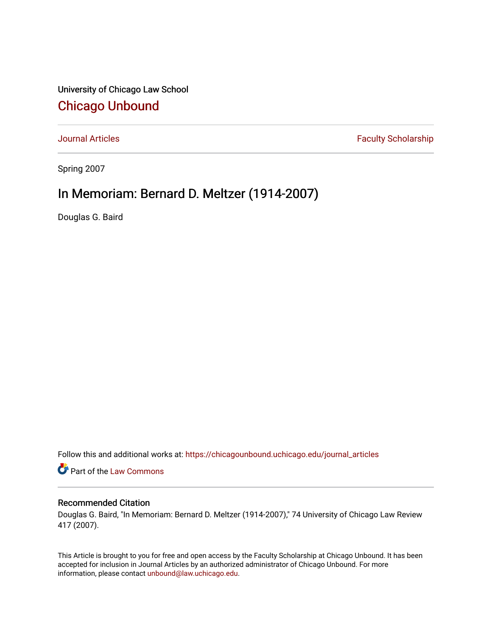University of Chicago Law School [Chicago Unbound](https://chicagounbound.uchicago.edu/)

[Journal Articles](https://chicagounbound.uchicago.edu/journal_articles) **Faculty Scholarship Faculty Scholarship** 

Spring 2007

## In Memoriam: Bernard D. Meltzer (1914-2007)

Douglas G. Baird

Follow this and additional works at: [https://chicagounbound.uchicago.edu/journal\\_articles](https://chicagounbound.uchicago.edu/journal_articles?utm_source=chicagounbound.uchicago.edu%2Fjournal_articles%2F290&utm_medium=PDF&utm_campaign=PDFCoverPages) 

Part of the [Law Commons](http://network.bepress.com/hgg/discipline/578?utm_source=chicagounbound.uchicago.edu%2Fjournal_articles%2F290&utm_medium=PDF&utm_campaign=PDFCoverPages)

## Recommended Citation

Douglas G. Baird, "In Memoriam: Bernard D. Meltzer (1914-2007)," 74 University of Chicago Law Review 417 (2007).

This Article is brought to you for free and open access by the Faculty Scholarship at Chicago Unbound. It has been accepted for inclusion in Journal Articles by an authorized administrator of Chicago Unbound. For more information, please contact [unbound@law.uchicago.edu](mailto:unbound@law.uchicago.edu).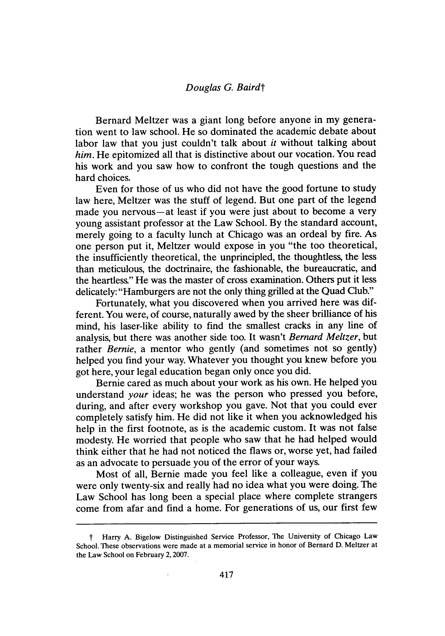## *Douglas G. Bairdt*

Bernard Meltzer was a giant long before anyone in my generation went to law school. He so dominated the academic debate about labor law that you just couldn't talk about *it* without talking about *him.* He epitomized all that is distinctive about our vocation. You read his work and you saw how to confront the tough questions and the hard choices.

Even for those of us who did not have the good fortune to study law here, Meltzer was the stuff of legend. But one part of the legend made you nervous—at least if you were just about to become a very young assistant professor at the Law School. By the standard account, merely going to a faculty lunch at Chicago was an ordeal by fire. As one person put it, Meltzer would expose in you "the too theoretical, the insufficiently theoretical, the unprincipled, the thoughtless, the less than meticulous, the doctrinaire, the fashionable, the bureaucratic, and the heartless" He was the master of cross examination. Others put it less delicately: "Hamburgers are not the only thing grilled at the Quad Club."

Fortunately, what you discovered when you arrived here was different. You were, of course, naturally awed by the sheer brilliance of his mind, his laser-like ability to find the smallest cracks in any line of analysis, but there was another side too. It wasn't *Bernard Meltzer,* but rather *Bernie*, a mentor who gently (and sometimes not so gently) helped you find your way. Whatever you thought you knew before you got here, your legal education began only once you did.

Bernie cared as much about your work as his own. He helped you understand *your* ideas; he was the person who pressed you before, during, and after every workshop you gave. Not that you could ever completely satisfy him. He did not like it when you acknowledged his help in the first footnote, as is the academic custom. It was not false modesty. He worried that people who saw that he had helped would think either that he had not noticed the flaws or, worse yet, had failed as an advocate to persuade you of the error of your ways.

Most of all, Bernie made you feel like a colleague, even if you were only twenty-six and really had no idea what you were doing. The Law School has long been a special place where complete strangers come from afar and find a home. For generations of us, our first few

t Harry A. Bigelow Distinguished Service Professor, The University of Chicago Law School. These observations were made at a memorial service in honor of Bernard D. Meltzer at the Law School on February 2, 2007.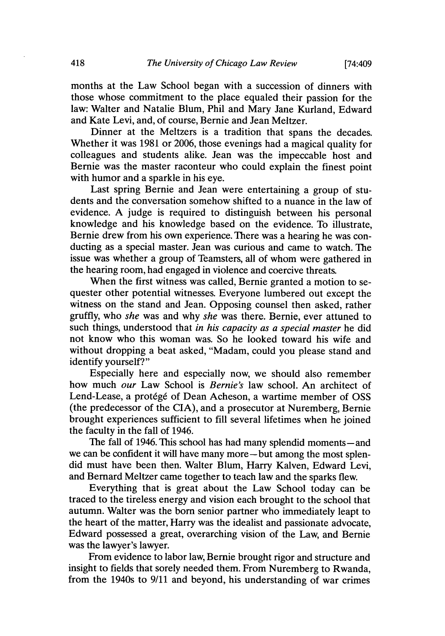months at the Law School began with a succession of dinners with those whose commitment to the place equaled their passion for the law: Walter and Natalie Blum, Phil and Mary Jane Kurland, Edward and Kate Levi, and, of course, Bernie and Jean Meltzer.

Dinner at the Meltzers is a tradition that spans the decades. Whether it was 1981 or 2006, those evenings had a magical quality for colleagues and students alike. Jean was the impeccable host and Bernie was the master raconteur who could explain the finest point with humor and a sparkle in his eve.

Last spring Bernie and Jean were entertaining a group of students and the conversation somehow shifted to a nuance in the law of evidence. A judge is required to distinguish between his personal knowledge and his knowledge based on the evidence. To illustrate, Bernie drew from his own experience. There was a hearing he was conducting as a special master. Jean was curious and came to watch. The issue was whether a group of Teamsters, all of whom were gathered in the hearing room, had engaged in violence and coercive threats.

When the first witness was called, Bernie granted a motion to sequester other potential witnesses. Everyone lumbered out except the witness on the stand and Jean. Opposing counsel then asked, rather gruffly, who *she* was and why *she* was there. Bernie, ever attuned to such things, understood that *in his capacity as a special master* he did not know who this woman was. So he looked toward his wife and without dropping a beat asked, "Madam, could you please stand and identify yourself?"

Especially here and especially now, we should also remember how much *our* Law School is *Bernie's* law school. An architect of Lend-Lease, a protégé of Dean Acheson, a wartime member of OSS (the predecessor of the CIA), and a prosecutor at Nuremberg, Bernie brought experiences sufficient to fill several lifetimes when he joined the faculty in the fall of 1946.

The fall of 1946. This school has had many splendid moments-and we can be confident it will have many more—but among the most splendid must have been then. Walter Blum, Harry Kalven, Edward Levi, and Bernard Meltzer came together to teach law and the sparks flew.

Everything that is great about the Law School today can be traced to the tireless energy and vision each brought to the school that autumn. Walter was the born senior partner who immediately leapt to the heart of the matter, Harry was the idealist and passionate advocate, Edward possessed a great, overarching vision of the Law, and Bernie was the lawyer's lawyer.

From evidence to labor law, Bernie brought rigor and structure and insight to fields that sorely needed them. From Nuremberg to Rwanda, from the 1940s to 9/11 and beyond, his understanding of war crimes